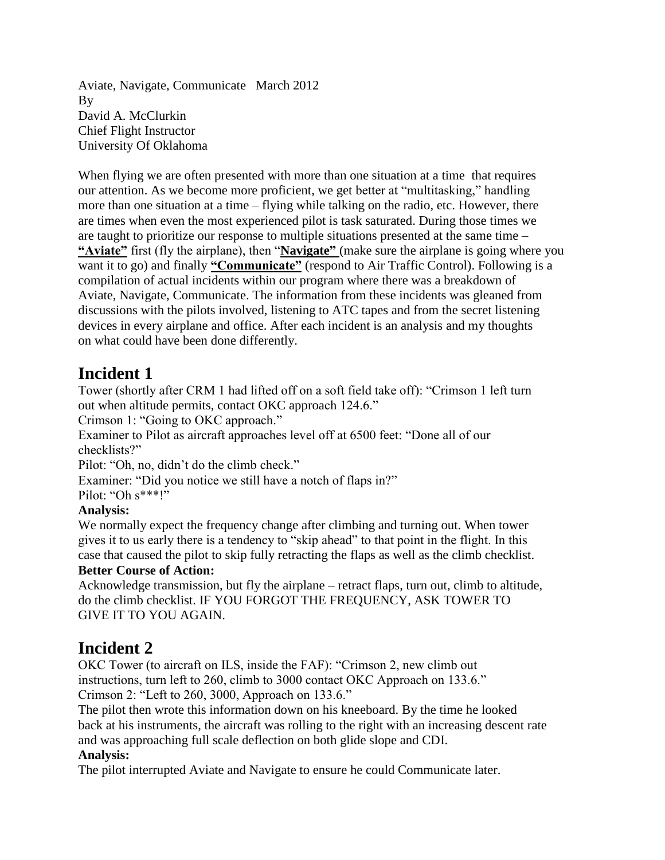Aviate, Navigate, Communicate March 2012 By David A. McClurkin Chief Flight Instructor University Of Oklahoma

When flying we are often presented with more than one situation at a time that requires our attention. As we become more proficient, we get better at "multitasking," handling more than one situation at a time – flying while talking on the radio, etc. However, there are times when even the most experienced pilot is task saturated. During those times we are taught to prioritize our response to multiple situations presented at the same time – **"Aviate"** first (fly the airplane), then "**Navigate"** (make sure the airplane is going where you want it to go) and finally **"Communicate"** (respond to Air Traffic Control). Following is a compilation of actual incidents within our program where there was a breakdown of Aviate, Navigate, Communicate. The information from these incidents was gleaned from discussions with the pilots involved, listening to ATC tapes and from the secret listening devices in every airplane and office. After each incident is an analysis and my thoughts on what could have been done differently.

## **Incident 1**

Tower (shortly after CRM 1 had lifted off on a soft field take off): "Crimson 1 left turn out when altitude permits, contact OKC approach 124.6."

Crimson 1: "Going to OKC approach."

Examiner to Pilot as aircraft approaches level off at 6500 feet: "Done all of our checklists?"

Pilot: "Oh, no, didn't do the climb check."

Examiner: "Did you notice we still have a notch of flaps in?"

Pilot: "Oh s\*\*\*!"

### **Analysis:**

We normally expect the frequency change after climbing and turning out. When tower gives it to us early there is a tendency to "skip ahead" to that point in the flight. In this case that caused the pilot to skip fully retracting the flaps as well as the climb checklist.

### **Better Course of Action:**

Acknowledge transmission, but fly the airplane – retract flaps, turn out, climb to altitude, do the climb checklist. IF YOU FORGOT THE FREQUENCY, ASK TOWER TO GIVE IT TO YOU AGAIN.

## **Incident 2**

OKC Tower (to aircraft on ILS, inside the FAF): "Crimson 2, new climb out instructions, turn left to 260, climb to 3000 contact OKC Approach on 133.6." Crimson 2: "Left to 260, 3000, Approach on 133.6."

The pilot then wrote this information down on his kneeboard. By the time he looked back at his instruments, the aircraft was rolling to the right with an increasing descent rate and was approaching full scale deflection on both glide slope and CDI.

### **Analysis:**

The pilot interrupted Aviate and Navigate to ensure he could Communicate later.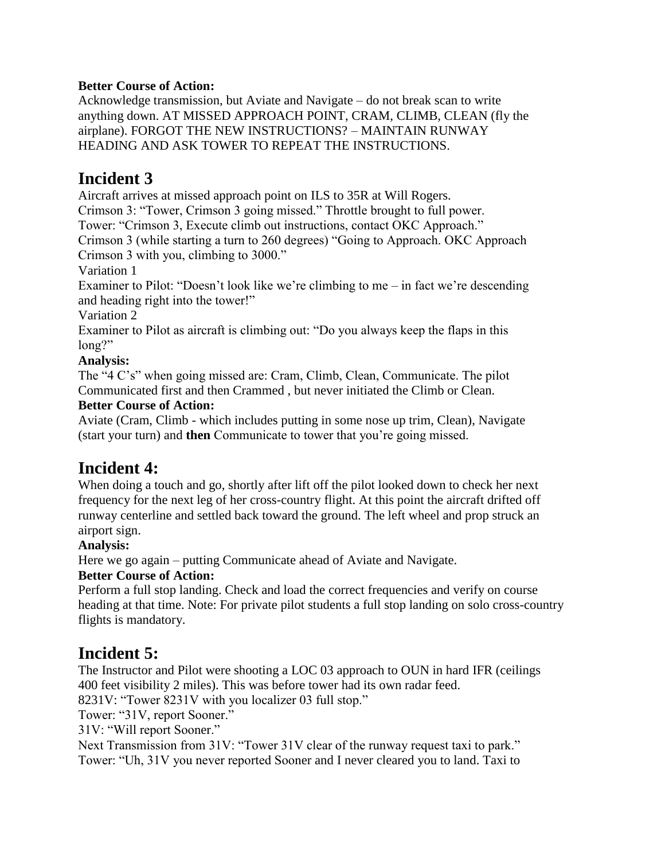#### **Better Course of Action:**

Acknowledge transmission, but Aviate and Navigate – do not break scan to write anything down. AT MISSED APPROACH POINT, CRAM, CLIMB, CLEAN (fly the airplane). FORGOT THE NEW INSTRUCTIONS? – MAINTAIN RUNWAY HEADING AND ASK TOWER TO REPEAT THE INSTRUCTIONS.

### **Incident 3**

Aircraft arrives at missed approach point on ILS to 35R at Will Rogers.

Crimson 3: "Tower, Crimson 3 going missed." Throttle brought to full power.

Tower: "Crimson 3, Execute climb out instructions, contact OKC Approach."

Crimson 3 (while starting a turn to 260 degrees) "Going to Approach. OKC Approach Crimson 3 with you, climbing to 3000."

Variation 1

Examiner to Pilot: "Doesn't look like we're climbing to me – in fact we're descending and heading right into the tower!"

Variation 2

Examiner to Pilot as aircraft is climbing out: "Do you always keep the flaps in this long?"

### **Analysis:**

The "4 C's" when going missed are: Cram, Climb, Clean, Communicate. The pilot Communicated first and then Crammed , but never initiated the Climb or Clean.

#### **Better Course of Action:**

Aviate (Cram, Climb - which includes putting in some nose up trim, Clean), Navigate (start your turn) and **then** Communicate to tower that you're going missed.

## **Incident 4:**

When doing a touch and go, shortly after lift off the pilot looked down to check her next frequency for the next leg of her cross-country flight. At this point the aircraft drifted off runway centerline and settled back toward the ground. The left wheel and prop struck an airport sign.

### **Analysis:**

Here we go again – putting Communicate ahead of Aviate and Navigate.

### **Better Course of Action:**

Perform a full stop landing. Check and load the correct frequencies and verify on course heading at that time. Note: For private pilot students a full stop landing on solo cross-country flights is mandatory.

## **Incident 5:**

The Instructor and Pilot were shooting a LOC 03 approach to OUN in hard IFR (ceilings 400 feet visibility 2 miles). This was before tower had its own radar feed.

8231V: "Tower 8231V with you localizer 03 full stop."

Tower: "31V, report Sooner."

31V: "Will report Sooner."

Next Transmission from 31V: "Tower 31V clear of the runway request taxi to park." Tower: "Uh, 31V you never reported Sooner and I never cleared you to land. Taxi to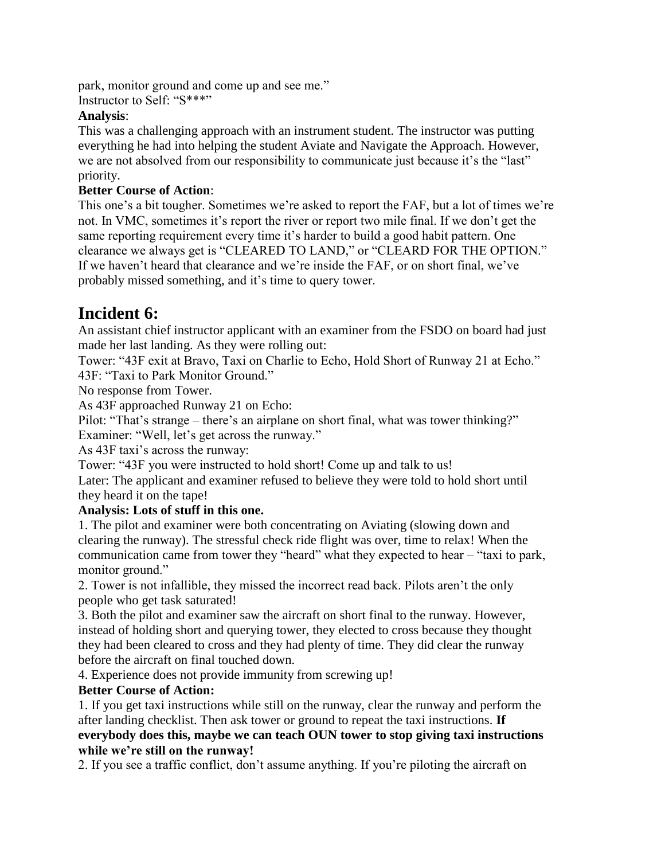park, monitor ground and come up and see me."

Instructor to Self: "S\*\*\*"

#### **Analysis**:

This was a challenging approach with an instrument student. The instructor was putting everything he had into helping the student Aviate and Navigate the Approach. However, we are not absolved from our responsibility to communicate just because it's the "last" priority.

#### **Better Course of Action**:

This one's a bit tougher. Sometimes we're asked to report the FAF, but a lot of times we're not. In VMC, sometimes it's report the river or report two mile final. If we don't get the same reporting requirement every time it's harder to build a good habit pattern. One clearance we always get is "CLEARED TO LAND," or "CLEARD FOR THE OPTION." If we haven't heard that clearance and we're inside the FAF, or on short final, we've probably missed something, and it's time to query tower.

### **Incident 6:**

An assistant chief instructor applicant with an examiner from the FSDO on board had just made her last landing. As they were rolling out:

Tower: "43F exit at Bravo, Taxi on Charlie to Echo, Hold Short of Runway 21 at Echo." 43F: "Taxi to Park Monitor Ground."

No response from Tower.

As 43F approached Runway 21 on Echo:

Pilot: "That's strange – there's an airplane on short final, what was tower thinking?"

Examiner: "Well, let's get across the runway."

As 43F taxi's across the runway:

Tower: "43F you were instructed to hold short! Come up and talk to us!

Later: The applicant and examiner refused to believe they were told to hold short until they heard it on the tape!

### **Analysis: Lots of stuff in this one.**

1. The pilot and examiner were both concentrating on Aviating (slowing down and clearing the runway). The stressful check ride flight was over, time to relax! When the communication came from tower they "heard" what they expected to hear – "taxi to park, monitor ground."

2. Tower is not infallible, they missed the incorrect read back. Pilots aren't the only people who get task saturated!

3. Both the pilot and examiner saw the aircraft on short final to the runway. However, instead of holding short and querying tower, they elected to cross because they thought they had been cleared to cross and they had plenty of time. They did clear the runway before the aircraft on final touched down.

4. Experience does not provide immunity from screwing up!

### **Better Course of Action:**

1. If you get taxi instructions while still on the runway, clear the runway and perform the after landing checklist. Then ask tower or ground to repeat the taxi instructions. **If everybody does this, maybe we can teach OUN tower to stop giving taxi instructions while we're still on the runway!**

2. If you see a traffic conflict, don't assume anything. If you're piloting the aircraft on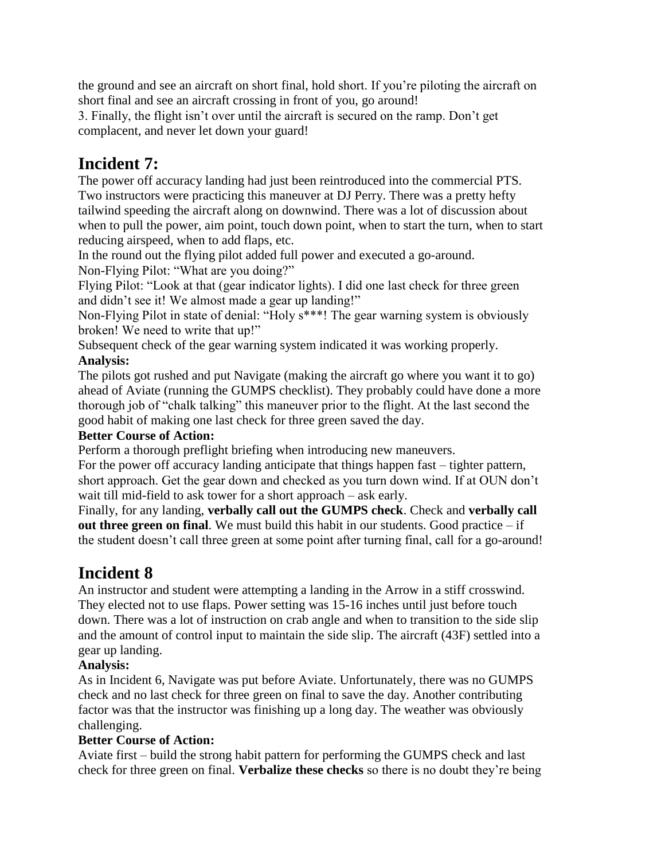the ground and see an aircraft on short final, hold short. If you're piloting the aircraft on short final and see an aircraft crossing in front of you, go around!

3. Finally, the flight isn't over until the aircraft is secured on the ramp. Don't get complacent, and never let down your guard!

## **Incident 7:**

The power off accuracy landing had just been reintroduced into the commercial PTS. Two instructors were practicing this maneuver at DJ Perry. There was a pretty hefty tailwind speeding the aircraft along on downwind. There was a lot of discussion about when to pull the power, aim point, touch down point, when to start the turn, when to start reducing airspeed, when to add flaps, etc.

In the round out the flying pilot added full power and executed a go-around. Non-Flying Pilot: "What are you doing?"

Flying Pilot: "Look at that (gear indicator lights). I did one last check for three green and didn't see it! We almost made a gear up landing!"

Non-Flying Pilot in state of denial: "Holy s\*\*\*! The gear warning system is obviously broken! We need to write that up!"

Subsequent check of the gear warning system indicated it was working properly.

### **Analysis:**

The pilots got rushed and put Navigate (making the aircraft go where you want it to go) ahead of Aviate (running the GUMPS checklist). They probably could have done a more thorough job of "chalk talking" this maneuver prior to the flight. At the last second the good habit of making one last check for three green saved the day.

### **Better Course of Action:**

Perform a thorough preflight briefing when introducing new maneuvers.

For the power off accuracy landing anticipate that things happen fast – tighter pattern, short approach. Get the gear down and checked as you turn down wind. If at OUN don't wait till mid-field to ask tower for a short approach – ask early.

Finally, for any landing, **verbally call out the GUMPS check**. Check and **verbally call out three green on final**. We must build this habit in our students. Good practice – if the student doesn't call three green at some point after turning final, call for a go-around!

# **Incident 8**

An instructor and student were attempting a landing in the Arrow in a stiff crosswind. They elected not to use flaps. Power setting was 15-16 inches until just before touch down. There was a lot of instruction on crab angle and when to transition to the side slip and the amount of control input to maintain the side slip. The aircraft (43F) settled into a gear up landing.

### **Analysis:**

As in Incident 6, Navigate was put before Aviate. Unfortunately, there was no GUMPS check and no last check for three green on final to save the day. Another contributing factor was that the instructor was finishing up a long day. The weather was obviously challenging.

### **Better Course of Action:**

Aviate first – build the strong habit pattern for performing the GUMPS check and last check for three green on final. **Verbalize these checks** so there is no doubt they're being